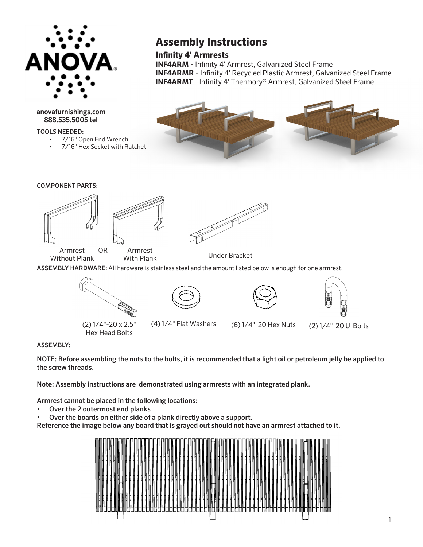

anovafurnishings.com 888.535.5005 tel

TOOLS NEEDED:

- 7/16" Open End Wrench
- 7/16" Hex Socket with Ratchet

## **Assembly Instructions**

**Infinity 4' Armrests**

**INF4ARM** - Infinity 4' Armrest, Galvanized Steel Frame **INF4ARMR** - Infinity 4' Recycled Plastic Armrest, Galvanized Steel Frame **INF4ARMT** - Infinity 4' Thermory® Armrest, Galvanized Steel Frame





## ASSEMBLY:

NOTE: Before assembling the nuts to the bolts, it is recommended that a light oil or petroleum jelly be applied to the screw threads.

Note: Assembly instructions are demonstrated using armrests with an integrated plank.

Armrest cannot be placed in the following locations:

Hex Head Bolts

- Over the 2 outermost end planks
- Over the boards on either side of a plank directly above a support.

Reference the image below any board that is grayed out should not have an armrest attached to it.

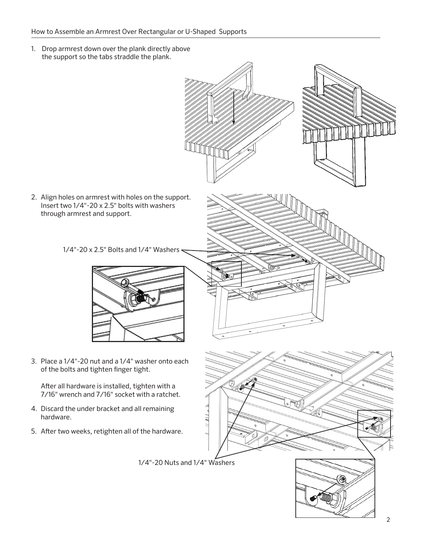1. Drop armrest down over the plank directly above the support so the tabs straddle the plank.

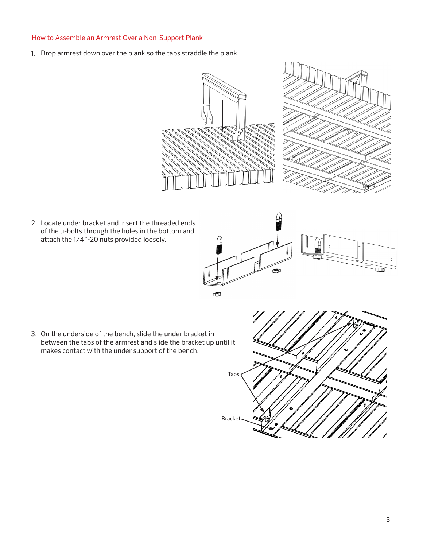1. Drop armrest down over the plank so the tabs straddle the plank.



2. Locate under bracket and insert the threaded ends of the u-bolts through the holes in the bottom and attach the 1/4"-20 nuts provided loosely.



3. On the underside of the bench, slide the under bracket in between the tabs of the armrest and slide the bracket up until it makes contact with the under support of the bench.

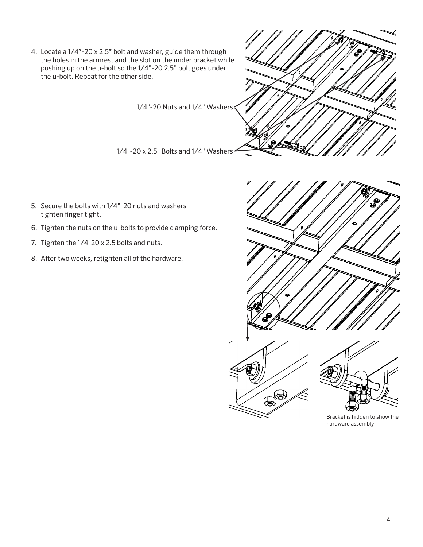- 4. Locate a 1/4"-20 x 2.5" bolt and washer, guide them through the holes in the armrest and the slot on the under bracket while pushing up on the u-bolt so the 1/4"-20 2.5" bolt goes under the u-bolt. Repeat for the other side. 1/4"-20 Nuts and 1/4" Washers 1/4"-20 x 2.5" Bolts and 1/4" Washers
- 5. Secure the bolts with 1/4"-20 nuts and washers tighten finger tight.
- 6. Tighten the nuts on the u-bolts to provide clamping force.
- 7. Tighten the 1/4-20 x 2.5 bolts and nuts.
- 8. After two weeks, retighten all of the hardware.



Bracket is hidden to show the hardware assembly